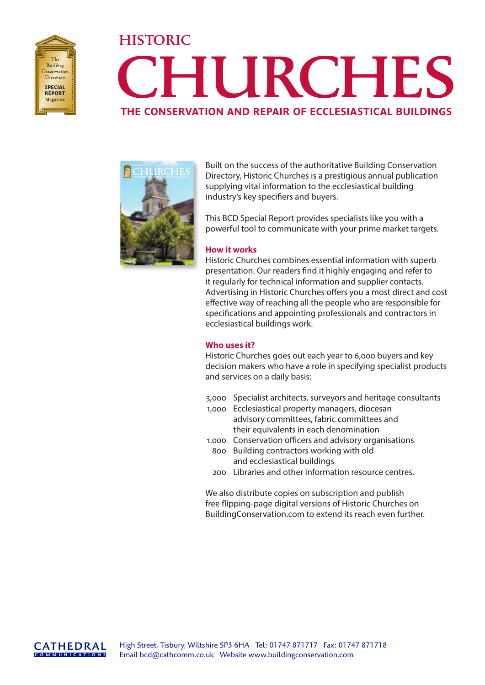

# **HISTORIC CHURCHES THE CONSERVATION AND REPAIR OF ECCLESIASTICAL BUILDINGS**



Built on the success of the authoritative Building Conservation Directory, Historic Churches is a prestigious annual publication supplying vital information to the ecclesiastical building industry's key specifiers and buyers.

This BCD Special Report provides specialists like you with a powerful tool to communicate with your prime market targets.

### **How it works**

Historic Churches combines essential information with superb presentation. Our readers find it highly engaging and refer to it regularly for technical information and supplier contacts. Advertising in Historic Churches offers you a most direct and cost effective way of reaching all the people who are responsible for specifications and appointing professionals and contractors in ecclesiastical buildings work.

### **Who uses it?**

Historic Churches goes out each year to 6,000 buyers and key decision makers who have a role in specifying specialist products and services on a daily basis:

- 3,000 Specialist architects, surveyors and heritage consultants
- 1,000 Ecclesiastical property managers, diocesan advisory committees, fabric committees and their equivalents in each denomination
- 1.000 Conservation officers and advisory organisations 800 Building contractors working with old and ecclesiastical buildings
- 200 Libraries and other information resource centres.

We also distribute copies on subscription and publish free flipping-page digital versions of Historic Churches on BuildingConservation.com to extend its reach even further.